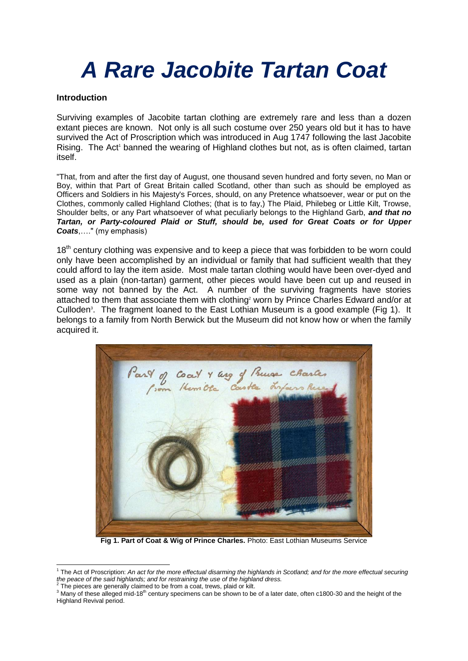# *A Rare Jacobite Tartan Coat*

#### **Introduction**

Surviving examples of Jacobite tartan clothing are extremely rare and less than a dozen extant pieces are known. Not only is all such costume over 250 years old but it has to have survived the Act of Proscription which was introduced in Aug 1747 following the last Jacobite Rising. The Act<sup>1</sup> banned the wearing of Highland clothes but not, as is often claimed, tartan itself.

"That, from and after the first day of August, one thousand seven hundred and forty seven, no Man or Boy, within that Part of Great Britain called Scotland, other than such as should be employed as Officers and Soldiers in his Majesty's Forces, should, on any Pretence whatsoever, wear or put on the Clothes, commonly called Highland Clothes; (that is to fay,) The Plaid, Philebeg or Little Kilt, Trowse, Shoulder belts, or any Part whatsoever of what peculiarly belongs to the Highland Garb, *and that no Tartan, or Party-coloured Plaid or Stuff, should be, used for Great Coats or for Upper Coats*,…." (my emphasis)

18<sup>th</sup> century clothing was expensive and to keep a piece that was forbidden to be worn could only have been accomplished by an individual or family that had sufficient wealth that they could afford to lay the item aside. Most male tartan clothing would have been over-dyed and used as a plain (non-tartan) garment, other pieces would have been cut up and reused in some way not banned by the Act. A number of the surviving fragments have stories attached to them that associate them with clothing<sup>2</sup> worn by Prince Charles Edward and/or at Culloden<sup>3</sup>. The fragment loaned to the East Lothian Museum is a good example (Fig 1). It belongs to a family from North Berwick but the Museum did not know how or when the family acquired it.



**Fig 1. Part of Coat & Wig of Prince Charles.** Photo: East Lothian Museums Service

 1 The Act of Proscription: *An act for the more effectual disarming the highlands in Scotland; and for the more effectual securing*  the peace of the said highlands; and for restraining the use of the highland dress.<br><sup>2</sup> The pieces are generally eleimed to be frame good, trown plaid or kit.

The pieces are generally claimed to be from a coat, trews, plaid or kilt.

<sup>&</sup>lt;sup>3</sup> Many of these alleged mid-18<sup>th</sup> century specimens can be shown to be of a later date, often c1800-30 and the height of the Highland Revival period.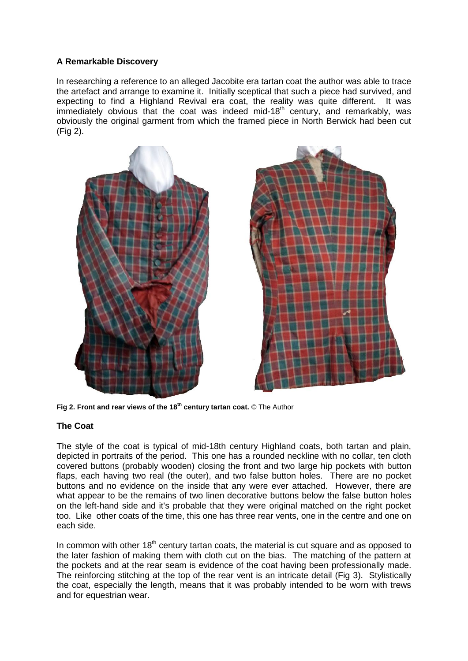## **A Remarkable Discovery**

In researching a reference to an alleged Jacobite era tartan coat the author was able to trace the artefact and arrange to examine it. Initially sceptical that such a piece had survived, and expecting to find a Highland Revival era coat, the reality was quite different. It was immediately obvious that the coat was indeed mid-18<sup>th</sup> century, and remarkably, was obviously the original garment from which the framed piece in North Berwick had been cut (Fig 2).



**Fig 2. Front and rear views of the 18th century tartan coat.** © The Author

### **The Coat**

The style of the coat is typical of mid-18th century Highland coats, both tartan and plain, depicted in portraits of the period. This one has a rounded neckline with no collar, ten cloth covered buttons (probably wooden) closing the front and two large hip pockets with button flaps, each having two real (the outer), and two false button holes. There are no pocket buttons and no evidence on the inside that any were ever attached. However, there are what appear to be the remains of two linen decorative buttons below the false button holes on the left-hand side and it's probable that they were original matched on the right pocket too. Like other coats of the time, this one has three rear vents, one in the centre and one on each side.

In common with other  $18<sup>th</sup>$  century tartan coats, the material is cut square and as opposed to the later fashion of making them with cloth cut on the bias. The matching of the pattern at the pockets and at the rear seam is evidence of the coat having been professionally made. The reinforcing stitching at the top of the rear vent is an intricate detail (Fig 3). Stylistically the coat, especially the length, means that it was probably intended to be worn with trews and for equestrian wear.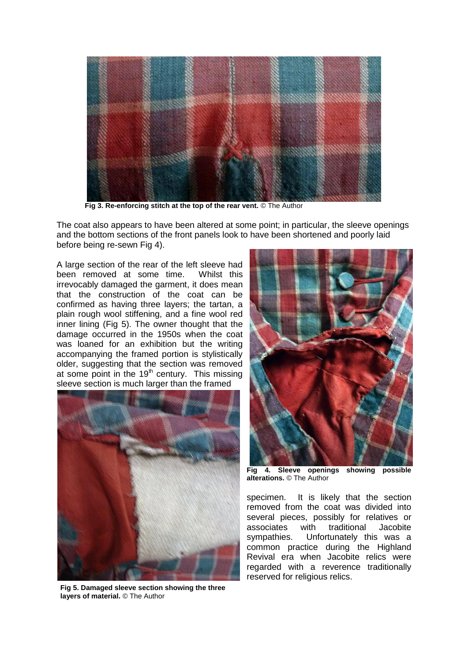

**Fig 3. Re-enforcing stitch at the top of the rear vent. © The Author** 

The coat also appears to have been altered at some point; in particular, the sleeve openings and the bottom sections of the front panels look to have been shortened and poorly laid before being re-sewn Fig 4).

A large section of the rear of the left sleeve had been removed at some time. Whilst this irrevocably damaged the garment, it does mean that the construction of the coat can be confirmed as having three layers; the tartan, a plain rough wool stiffening, and a fine wool red inner lining (Fig 5). The owner thought that the damage occurred in the 1950s when the coat was loaned for an exhibition but the writing accompanying the framed portion is stylistically older, suggesting that the section was removed at some point in the  $19<sup>th</sup>$  century. This missing sleeve section is much larger than the framed



**Fig 5. Damaged sleeve section showing the three layers of material.** © The Author



**Fig 4. Sleeve openings showing possible alterations.** © The Author

specimen. It is likely that the section removed from the coat was divided into several pieces, possibly for relatives or associates with traditional Jacobite sympathies. Unfortunately this was a common practice during the Highland Revival era when Jacobite relics were regarded with a reverence traditionally reserved for religious relics.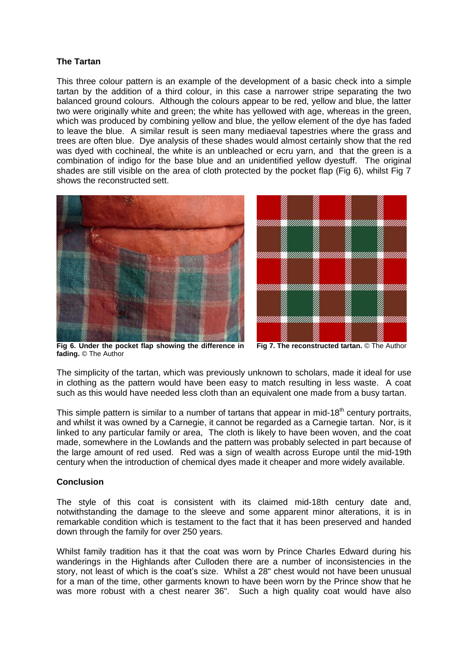### **The Tartan**

This three colour pattern is an example of the development of a basic check into a simple tartan by the addition of a third colour, in this case a narrower stripe separating the two balanced ground colours. Although the colours appear to be red, yellow and blue, the latter two were originally white and green; the white has yellowed with age, whereas in the green, which was produced by combining yellow and blue, the yellow element of the dye has faded to leave the blue. A similar result is seen many mediaeval tapestries where the grass and trees are often blue. Dye analysis of these shades would almost certainly show that the red was dyed with cochineal, the white is an unbleached or ecru yarn, and that the green is a combination of indigo for the base blue and an unidentified yellow dyestuff. The original shades are still visible on the area of cloth protected by the pocket flap (Fig 6), whilst Fig 7 shows the reconstructed sett.





**Fig 6. Under the pocket flap showing the difference in fading.** © The Author  **Fig 7. The reconstructed tartan.** © The Author

The simplicity of the tartan, which was previously unknown to scholars, made it ideal for use in clothing as the pattern would have been easy to match resulting in less waste. A coat such as this would have needed less cloth than an equivalent one made from a busy tartan.

This simple pattern is similar to a number of tartans that appear in mid-18<sup>th</sup> century portraits, and whilst it was owned by a Carnegie, it cannot be regarded as a Carnegie tartan. Nor, is it linked to any particular family or area, The cloth is likely to have been woven, and the coat made, somewhere in the Lowlands and the pattern was probably selected in part because of the large amount of red used. Red was a sign of wealth across Europe until the mid-19th century when the introduction of chemical dyes made it cheaper and more widely available.

### **Conclusion**

The style of this coat is consistent with its claimed mid-18th century date and, notwithstanding the damage to the sleeve and some apparent minor alterations, it is in remarkable condition which is testament to the fact that it has been preserved and handed down through the family for over 250 years.

Whilst family tradition has it that the coat was worn by Prince Charles Edward during his wanderings in the Highlands after Culloden there are a number of inconsistencies in the story, not least of which is the coat's size. Whilst a 28" chest would not have been unusual for a man of the time, other garments known to have been worn by the Prince show that he was more robust with a chest nearer 36". Such a high quality coat would have also